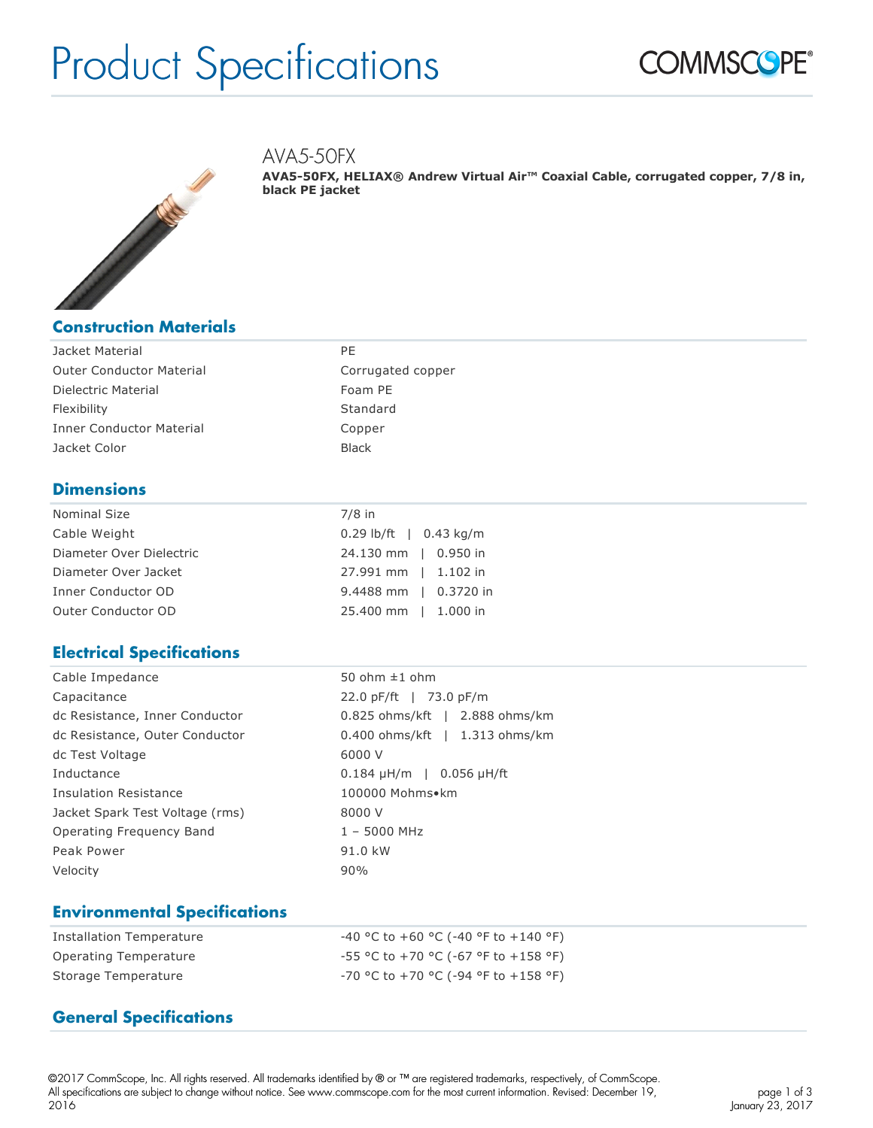# Product Specifications





#### AVA5-50FX

**AVA5-50FX, HELIAX® Andrew Virtual Air™ Coaxial Cable, corrugated copper, 7/8 in, black PE jacket**

| Jacket Material                 | PF.   |
|---------------------------------|-------|
| <b>Outer Conductor Material</b> | Corru |
| Dielectric Material             | Foam  |
| Flexibility                     | Stand |
| <b>Inner Conductor Material</b> | Copp( |
| Jacket Color                    | Black |

Corrugated copper Foam PE Standard Copper

#### **Dimensions**

| Nominal Size             | $7/8$ in                 |  |
|--------------------------|--------------------------|--|
| Cable Weight             | $0.29$ lb/ft   0.43 kg/m |  |
| Diameter Over Dielectric | 24.130 mm   0.950 in     |  |
| Diameter Over Jacket     | 27.991 mm   1.102 in     |  |
| Inner Conductor OD       | 9.4488 mm   0.3720 in    |  |
| Outer Conductor OD       | 25.400 mm   1.000 in     |  |

#### **Electrical Specifications**

| Cable Impedance                 | 50 ohm $\pm 1$ ohm                 |  |
|---------------------------------|------------------------------------|--|
| Capacitance                     | 22.0 pF/ft   73.0 pF/m             |  |
| dc Resistance, Inner Conductor  | 0.825 ohms/kft   2.888 ohms/km     |  |
| dc Resistance, Outer Conductor  | $0.400$ ohms/kft   1.313 ohms/km   |  |
| dc Test Voltage                 | 6000 V                             |  |
| Inductance                      | $0.184 \mu H/m$   0.056 $\mu H/ft$ |  |
| Insulation Resistance           | 100000 Mohms•km                    |  |
| Jacket Spark Test Voltage (rms) | 8000 V                             |  |
| Operating Frequency Band        | $1 - 5000$ MHz                     |  |
| Peak Power                      | 91.0 kW                            |  |
| Velocity                        | 90%                                |  |

#### **Environmental Specifications**

| Installation Temperature | $-40$ °C to $+60$ °C ( $-40$ °F to $+140$ °F) |
|--------------------------|-----------------------------------------------|
| Operating Temperature    | $-55$ °C to +70 °C (-67 °F to +158 °F)        |
| Storage Temperature      | $-70$ °C to $+70$ °C (-94 °F to $+158$ °F)    |

#### **General Specifications**

©2017 CommScope, Inc. All rights reserved. All trademarks identified by ® or ™ are registered trademarks, respectively, of CommScope. All specifications are subject to change without notice. See www.commscope.com for the most current information. Revised: December 19, 2016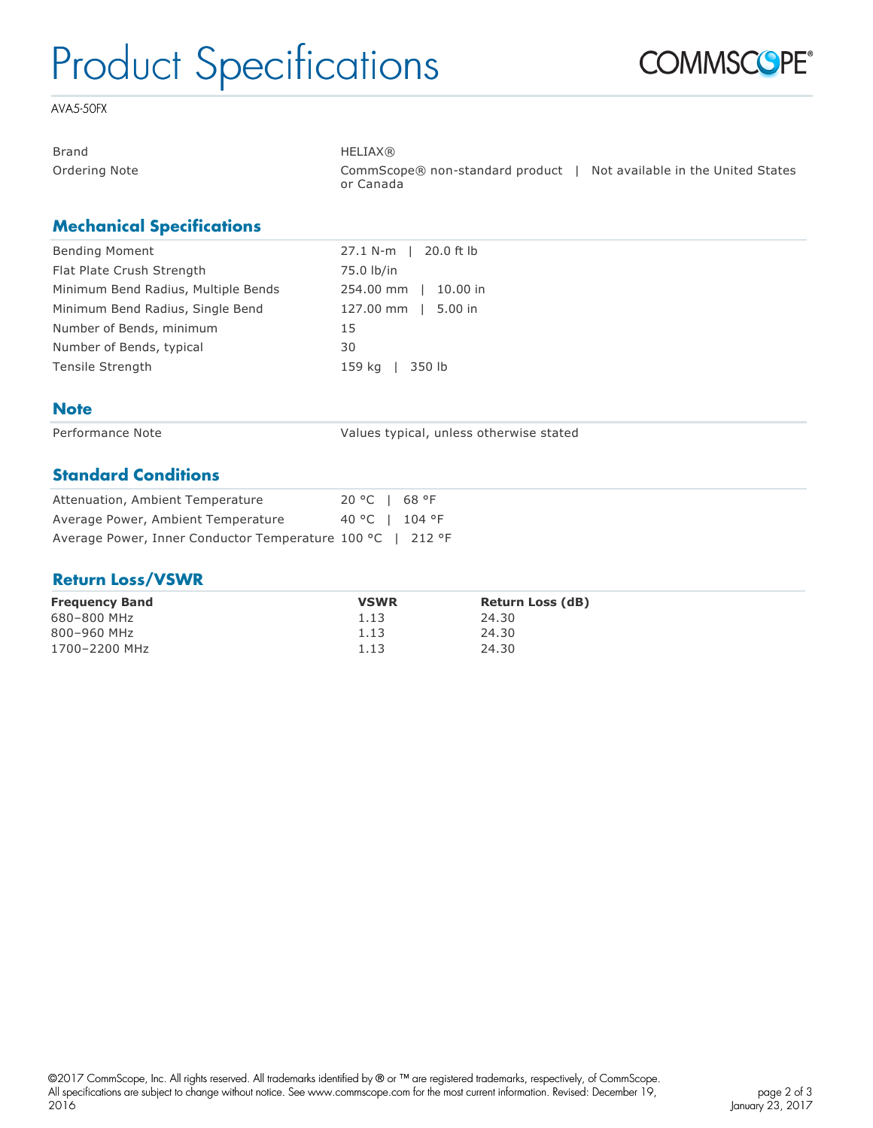# Product Specifications



AVA5-50FX

| <b>Brand</b>  | <b>HELIAX®</b>                                 |                                    |
|---------------|------------------------------------------------|------------------------------------|
| Ordering Note | CommScope® non-standard product  <br>or Canada | Not available in the United States |

#### **Mechanical Specifications**

| 27.1 N-m   20.0 ft lb |
|-----------------------|
| 75.0 lb/in            |
| 254.00 mm   10.00 in  |
| 127.00 mm   5.00 in   |
| 15                    |
| 30                    |
| 159 ka<br>350 lb      |
|                       |

#### **Note**

Performance Note **Values typical**, unless otherwise stated

#### **Standard Conditions**

| Attenuation, Ambient Temperature                           | 20 °C   68 °F  |
|------------------------------------------------------------|----------------|
| Average Power, Ambient Temperature                         | 40 °C   104 °F |
| Average Power, Inner Conductor Temperature 100 °C   212 °F |                |

#### **Return Loss/VSWR**

| <b>Frequency Band</b> | <b>VSWR</b> | <b>Return Loss (dB)</b> |
|-----------------------|-------------|-------------------------|
| 680-800 MHz           | 1.13        | 24.30                   |
| 800-960 MHz           | 1.13        | 24.30                   |
| 1700-2200 MHz         | 1.13        | 24.30                   |